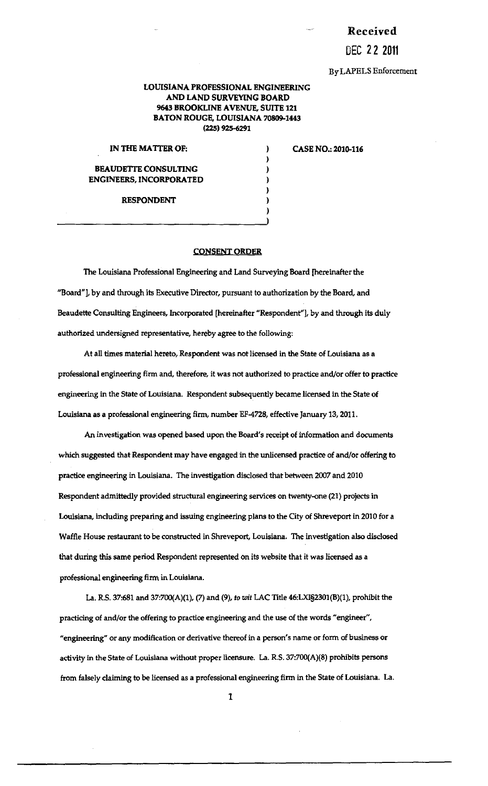Received

DEC 2 2 2011

By LAPELS Enforcement

## LOUISIANA PROFESSIONAL ENGINEERING AND LAND SURVEYING BOARD 9643 BROOKLINE AVENUE, SUITE 121 BATON ROUGE, LOUISIANA 70809-1443 (225) 925-6291

) ) ) ) ) )

IN THE MATTER OF:  $\qquad \qquad$ )

CASE NO.: 2010.116

## BEAUDETTE CONSULTING ENGINEERS, INCORPORATED

RESPONDENT

## CONSENT ORDER

The Louisiana Professional Engineering and Land Surveying Board [hereinafter the "Board"], by and through its Executive Director, pursuant to authorization by the Board, and Beaudette Consulting Engineers, Incorporated [hereinafter "Respondent"], by and through its duly authorized undersigned representative, hereby agree to the following:

At all times material hereto, Respondent was not licensed in the State of Louisiana as a professional engineering firm and, therefore, it was not authorized to practice and/or offer to practice engineering in the State of Louisiana. Respondent subsequently became licensed in the State of Louisiana as a professional engineering firm, number EF-4728, effective January 13,2011.

An investigation was opened based upon the Board's receipt of information and documents which suggested that Respondent may have engaged in the unlicensed practice of and/or offering to practice engineering in Louisiana. The investigation disclosed that between 2007 and 2010 Respondent admittedly provided structural engineering services on twenty-one (21) projects in Louisiana, including preparing and issuing engineering plans to the City of Shreveport in 2010 for a Waffle House restaurant to be constructed in Shreveport, Louisiana. The investigation also disclosed that during this same period Respondent represented on its website that it was licensed as a professional engineering firm in Louisiana.

La. R.S. 37:681 and 37:700(A)(l), (7) and (9), *to wit* LAC Title 46:LX1§2301(B)(l), prohibit the practicing of and/or the offering to practice engineering and the use of the words "engineer", "engineering" or any modification or derivative thereof in a person's name or form of business or activity in the State of Louisiana without proper licensure. La. R.S. 37:700(A)(8) prohibits persons from falsely claiming to be licensed as a professional engineering firm in the State of Louisiana. La.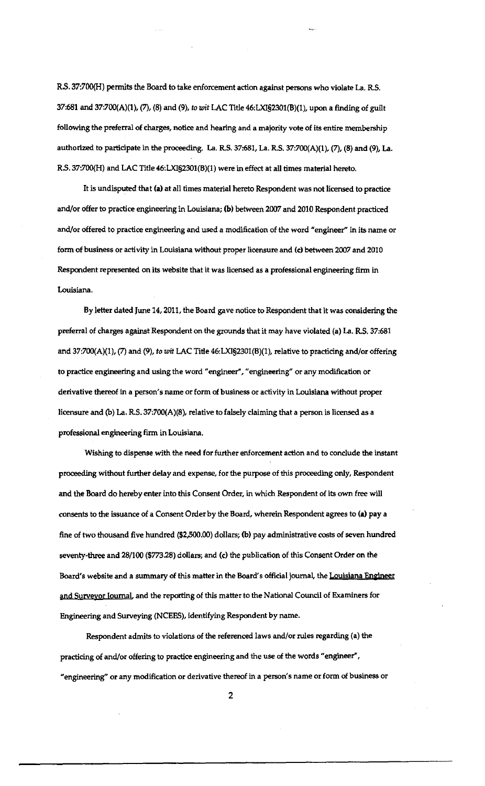RS. 37:700(H) permits the Board to take enforcement action against persons who violate La. R.S. 37:681 and 37:700(A)(1), (7), (8) and (9), *to wit* LAC Title 46:LXI§2301(B)(1), upon a finding of guilt following the preferral of charges, notice and hearing and a majority vote of its entire membership authorized to participate in the proceeding. La. R.S. 37:681, La. R.S. 37:700(A)(1), (7), (8) and (9), La. *RS.* 37:700(H) and LAC Title 46:LXI§2301(B)(1) were in effect at all times material hereto.

It is undisputed that (a) at all times material hereto Respondent was not licensed to practice and/or offer to practice engineering in Louisiana; (b) between 2007 and 2010 Respondent practiced and/or offered to practice engineering and used a modification of the word "engineer" in its name or form of business or activity in Louisiana without proper licensure and (c) between 2007 and 2010 Respondent represented on its website that it was licensed as a professional engineering firm in Louisiana.

By letter dated June 14, 2011, the Board gave notice to Respondent that it was considering the preferral of charges against Respondent on the grounds that it may have violated (a) La. R.S. 37:681 and 37:700(A)(1), (7) and (9), *to wit* LAC Title 46:LXI§2301(B)(l), relative to practicing and/or offering to practice engineering and using the word "engineer", "engineering" or any modification or derivative thereof in a person's name or form of business or activity in Louisiana without proper licensure and (b) La. R.S. 37:700(A)(8), relative to falsely claiming that a person is licensed as a professional engineering firm in Louisiana.

Wishing to dispense.with the need for further enforcement action and to conclude the instant proceeding without further delay and expense, for the purpose of this proceeding only, Respondent and the Board do hereby enter into this Consent Order, in which Respondent of its own free will consents to the issuance of a Consent Order by the Board, wherein Respondent agrees to (a) pay a fine of two thousand five hundred (\$2,500.00) dollars; (b) pay administrative costs of seven hundred seventy-three and 28/100 (\$773.28) dollars; and (c) the publication of this Consent Order on the Board's website and a summary of this matter in the Board's official journal, the Louisiana Engineer and Surveyor Journal and the reporting of this matter to the National Council of Examiners for Engineering and Surveying (NCEES), identifying Respondent by name.

Respondent admits to violations of the referenced laws and/or rules regarding (a) the practicing of and/or offering to practice engineering and the use of the words "engineer", "engineering" or any modification or derivative thereof in a person's name or form of business or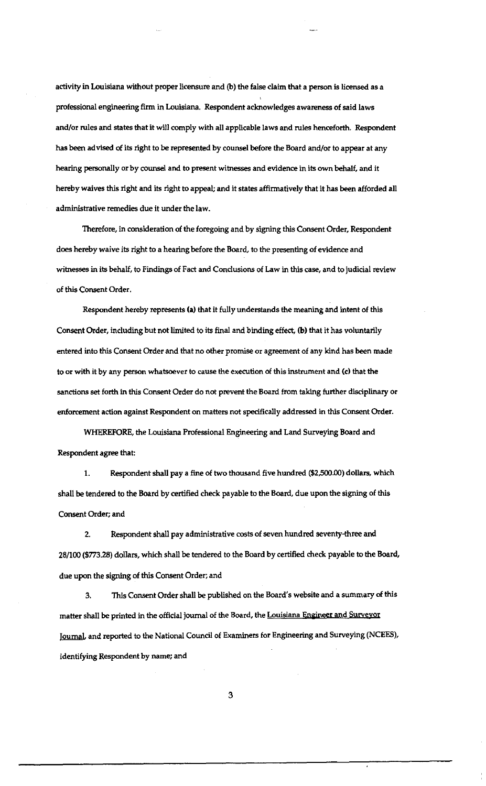activity in Louisiana without proper licensure and (b) the false claim that a person is licensed as a professional engineering firm in Louisiana. Respondent acknowledges awareness of said laws and/or rules and states that it will comply with all applicable laws and rules henceforth. Respondent has been advised of its right to be represented by counsel before the Board and/or to appear at any hearing personally or by counsel and to present witnesses and evidence in its own behalf, and it hereby waives this right and its right to appeal; and it states affirmatively that it has been afforded all administrative remedies due it under the law.

Therefore, in consideration of the foregoing and by signing this Consent Order, Respondent does hereby waive its right to a hearing before the Board, to the presenting of evidence and witnesses in its behalf, to Findings of Fact and Conclusions of Law in this case, and to judicial review of this Consent Order.

Respondent hereby represents (a) that it fully understands the meaning and intent of this Consent Order, including but not limited to its final and binding effect, (b) that it has voluntarily entered into this Consent Order and that no other promise or agreement of any kind has been made to or with it by any person whatsoever to cause the execution of this instrument and (c) that the sanctions set forth in this Consent Order do not prevent the Board from taking further disciplinary or enforcement action against Respondent on matters not specifically addressed in this Consent Order.

WHEREFORE, the Louisiana Professional Engineering and Land Surveying Board and Respondent agree that:

1. Respondent shall pay a fine of two thousand five hundred (\$2,500.00) dollars, which shall be tendered to the Board by certified check payable to the Board, due upon the signing of this Consent Order; and

2. Respondent shall pay administrative costs of seven hundred seventy-three and 28/100 (\$773.28) dollars, which shall be tendered to the Board by certified check payable to the Board, due upon the signing of this Consent Order; and

3. This Consent Order shall be published on the Board's website and a summary of this matter shall be printed in the official journal of the Board, the Louisiana Engineer and Surveyor Journal, and reported to the National Council of Examiners for Engineering and Surveying (NCEES), identifying Respondent by name; and

3